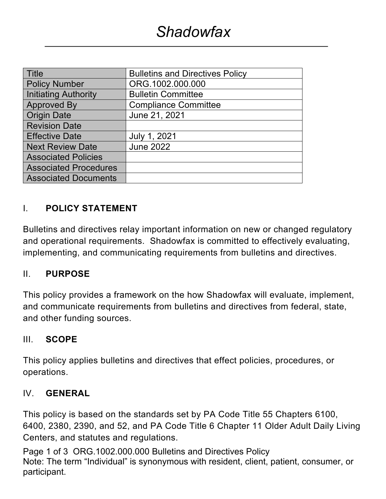| <b>Bulletins and Directives Policy</b> |
|----------------------------------------|
| ORG.1002.000.000                       |
| <b>Bulletin Committee</b>              |
| <b>Compliance Committee</b>            |
| June 21, 2021                          |
|                                        |
| July 1, 2021                           |
| <b>June 2022</b>                       |
|                                        |
|                                        |
|                                        |
|                                        |

## I. **POLICY STATEMENT**

Bulletins and directives relay important information on new or changed regulatory and operational requirements. Shadowfax is committed to effectively evaluating, implementing, and communicating requirements from bulletins and directives.

#### II. **PURPOSE**

This policy provides a framework on the how Shadowfax will evaluate, implement, and communicate requirements from bulletins and directives from federal, state, and other funding sources.

#### III. **SCOPE**

This policy applies bulletins and directives that effect policies, procedures, or operations.

#### IV. **GENERAL**

This policy is based on the standards set by PA Code Title 55 Chapters 6100, 6400, 2380, 2390, and 52, and PA Code Title 6 Chapter 11 Older Adult Daily Living Centers, and statutes and regulations.

Page 1 of 3 ORG.1002.000.000 Bulletins and Directives Policy Note: The term "Individual" is synonymous with resident, client, patient, consumer, or participant.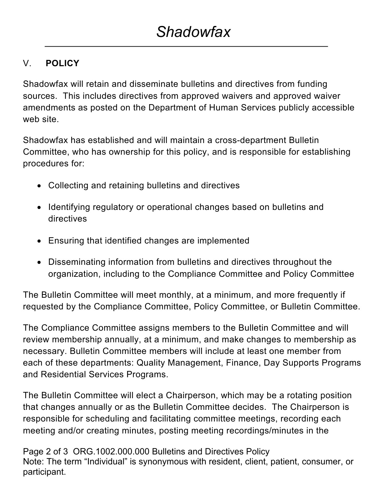# V. **POLICY**

Shadowfax will retain and disseminate bulletins and directives from funding sources. This includes directives from approved waivers and approved waiver amendments as posted on the Department of Human Services publicly accessible web site.

Shadowfax has established and will maintain a cross-department Bulletin Committee, who has ownership for this policy, and is responsible for establishing procedures for:

- Collecting and retaining bulletins and directives
- Identifying regulatory or operational changes based on bulletins and directives
- Ensuring that identified changes are implemented
- Disseminating information from bulletins and directives throughout the organization, including to the Compliance Committee and Policy Committee

The Bulletin Committee will meet monthly, at a minimum, and more frequently if requested by the Compliance Committee, Policy Committee, or Bulletin Committee.

The Compliance Committee assigns members to the Bulletin Committee and will review membership annually, at a minimum, and make changes to membership as necessary. Bulletin Committee members will include at least one member from each of these departments: Quality Management, Finance, Day Supports Programs and Residential Services Programs.

The Bulletin Committee will elect a Chairperson, which may be a rotating position that changes annually or as the Bulletin Committee decides. The Chairperson is responsible for scheduling and facilitating committee meetings, recording each meeting and/or creating minutes, posting meeting recordings/minutes in the

Page 2 of 3 ORG.1002.000.000 Bulletins and Directives Policy Note: The term "Individual" is synonymous with resident, client, patient, consumer, or participant.